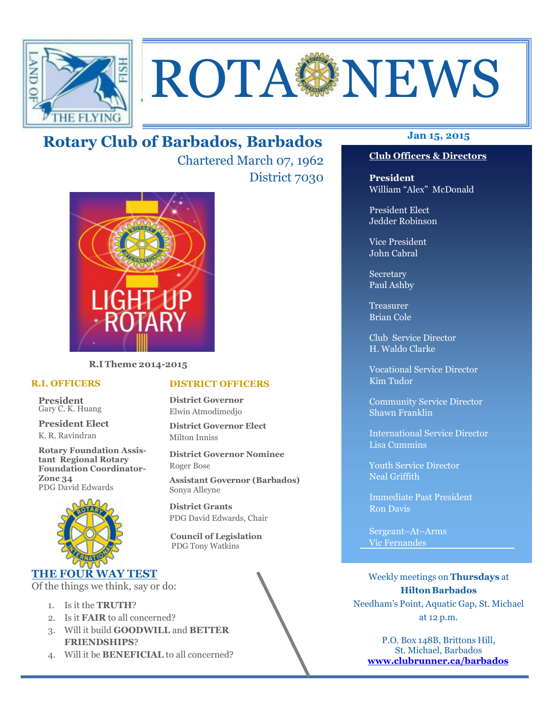

# ROTA NEWS

## **Jan 15, 2015 Rotary Club of Barbados, Barbados**

Chartered March 07, 1962 District 7030



**R.I Theme 2014-2015** 

#### **R.I. OFFICERS**

**President** Gary C. K. Huang

**President Elect** K. R. Ravindran

**Rotary Foundation Assistant Regional Rotary Foundation Coordinator-Zone 34**  PDG David Edwards



#### **THE FOUR WAY TEST**

Of the things we think, say or do:

- 1. Is it the **TRUTH**?
- 2. Is it **FAIR** to all concerned?
- 3. Will it build **GOODWILL** and **BETTER FRIENDSHIPS**?
- 4. Will it be **BENEFICIAL** to all concerned?

#### **Club Officers & Directors**

**President** William "Alex" McDonald

President Elect Jedder Robinson

Vice President John Cabral

Secretary Paul Ashby

Treasurer Brian Cole

Club Service Director H. Waldo Clarke

Vocational Service Director Kim Tudor

Community Service Director Shawn Franklin

International Service Director Lisa Cummins

Youth Service Director Neal Griffith

Immediate Past President Ron Davis

Sergeant–At–Arms Vic Fernandes

Weekly meetings on **Thursdays** at **Hilton Barbados** Needham's Point, Aquatic Gap, St. Michael at 12 p.m.

P.O. Box 148B, Brittons Hill, St. Michael, Barbados **www.clubrunner.ca/barbados**

#### **DISTRICT OFFICERS**

**District Governor** Elwin Atmodimedjo

**District Governor Elect** Milton Inniss

**District Governor Nominee**  Roger Bose

**Assistant Governor (Barbados)** Sonya Alleyne

**District Grants**  PDG David Edwards, Chair

 **Council of Legislation**  PDG Tony Watkins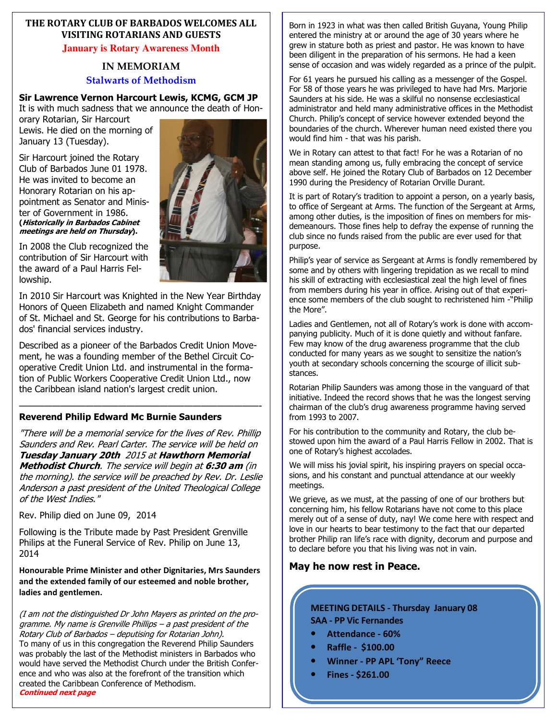#### **THE ROTARY CLUB OF BARBADOS WELCOMES ALL VISITING ROTARIANS AND GUESTS**

**January is Rotary Awareness Month** 

#### **IN MEMORIAM Stalwarts of Methodism**

#### **Sir Lawrence Vernon Harcourt Lewis, KCMG, GCM JP**

It is with much sadness that we announce the death of Hon-

orary Rotarian, Sir Harcourt Lewis. He died on the morning of January 13 (Tuesday).

Sir Harcourt joined the Rotary Club of Barbados June 01 1978. He was invited to become an Honorary Rotarian on his appointment as Senator and Minister of Government in 1986. **(Historically in Barbados Cabinet meetings are held on Thursday).**

In 2008 the Club recognized the contribution of Sir Harcourt with the award of a Paul Harris Fellowship.

In 2010 Sir Harcourt was Knighted in the New Year Birthday Honors of Queen Elizabeth and named Knight Commander of St. Michael and St. George for his contributions to Barbados' financial services industry.

Described as a pioneer of the Barbados Credit Union Movement, he was a founding member of the Bethel Circuit Cooperative Credit Union Ltd. and instrumental in the formation of Public Workers Cooperative Credit Union Ltd., now the Caribbean island nation's largest credit union.

#### —————————————————————————————- **Reverend Philip Edward Mc Burnie Saunders**

"There will be a memorial service for the lives of Rev. Phillip Saunders and Rev. Pearl Carter. The service will be held on **Tuesday January 20th** 2015 at **Hawthorn Memorial Methodist Church**. The service will begin at **6:30 am** (in the morning). the service will be preached by Rev. Dr. Leslie Anderson a past president of the United Theological College of the West Indies."

Rev. Philip died on June 09, 2014

Following is the Tribute made by Past President Grenville Philips at the Funeral Service of Rev. Philip on June 13, 2014

**Honourable Prime Minister and other Dignitaries, Mrs Saunders and the extended family of our esteemed and noble brother, ladies and gentlemen.** 

(I am not the distinguished Dr John Mayers as printed on the programme. My name is Grenville Phillips – a past president of the Rotary Club of Barbados – deputising for Rotarian John). To many of us in this congregation the Reverend Philip Saunders was probably the last of the Methodist ministers in Barbados who would have served the Methodist Church under the British Conference and who was also at the forefront of the transition which created the Caribbean Conference of Methodism. **Continued next page** 

Born in 1923 in what was then called British Guyana, Young Philip entered the ministry at or around the age of 30 years where he grew in stature both as priest and pastor. He was known to have been diligent in the preparation of his sermons. He had a keen sense of occasion and was widely regarded as a prince of the pulpit.

For 61 years he pursued his calling as a messenger of the Gospel. For 58 of those years he was privileged to have had Mrs. Marjorie Saunders at his side. He was a skilful no nonsense ecclesiastical administrator and held many administrative offices in the Methodist Church. Philip's concept of service however extended beyond the boundaries of the church. Wherever human need existed there you would find him - that was his parish.

We in Rotary can attest to that fact! For he was a Rotarian of no mean standing among us, fully embracing the concept of service above self. He joined the Rotary Club of Barbados on 12 December 1990 during the Presidency of Rotarian Orville Durant.

It is part of Rotary's tradition to appoint a person, on a yearly basis, to office of Sergeant at Arms. The function of the Sergeant at Arms, among other duties, is the imposition of fines on members for misdemeanours. Those fines help to defray the expense of running the club since no funds raised from the public are ever used for that purpose.

Philip's year of service as Sergeant at Arms is fondly remembered by some and by others with lingering trepidation as we recall to mind his skill of extracting with ecclesiastical zeal the high level of fines from members during his year in office. Arising out of that experience some members of the club sought to rechristened him -"Philip the More".

Ladies and Gentlemen, not all of Rotary's work is done with accompanying publicity. Much of it is done quietly and without fanfare. Few may know of the drug awareness programme that the club conducted for many years as we sought to sensitize the nation's youth at secondary schools concerning the scourge of illicit substances.

Rotarian Philip Saunders was among those in the vanguard of that initiative. Indeed the record shows that he was the longest serving chairman of the club's drug awareness programme having served from 1993 to 2007.

For his contribution to the community and Rotary, the club bestowed upon him the award of a Paul Harris Fellow in 2002. That is one of Rotary's highest accolades.

We will miss his jovial spirit, his inspiring prayers on special occasions, and his constant and punctual attendance at our weekly meetings.

We grieve, as we must, at the passing of one of our brothers but concerning him, his fellow Rotarians have not come to this place merely out of a sense of duty, nay! We come here with respect and love in our hearts to bear testimony to the fact that our departed brother Philip ran life's race with dignity, decorum and purpose and to declare before you that his living was not in vain.

#### **May he now rest in Peace.**

#### **MEETING DETAILS - Thursday January 08 SAA - PP Vic Fernandes**

- **Attendance 60%**
- **Raffle \$100.00**
- **Winner PP APL 'Tony" Reece**
- **Fines \$261.00**

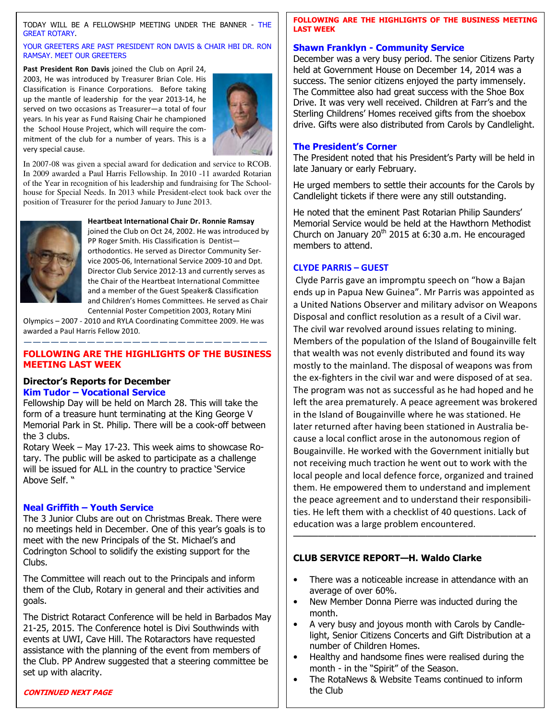TODAY WILL BE A FELLOWSHIP MEETING UNDER THE BANNER - THE GREAT ROTARY.

#### YOUR GREETERS ARE PAST PRESIDENT RON DAVIS & CHAIR HBI DR. RON RAMSAY. MEET OUR GREETERS

**Past President Ron Davis** joined the Club on April 24, 2003, He was introduced by Treasurer Brian Cole. His Classification is Finance Corporations. Before taking up the mantle of leadership for the year 2013-14, he served on two occasions as Treasurer—a total of four years. In his year as Fund Raising Chair he championed the School House Project, which will require the commitment of the club for a number of years. This is a very special cause.



In 2007-08 was given a special award for dedication and service to RCOB. In 2009 awarded a Paul Harris Fellowship. In 2010 -11 awarded Rotarian of the Year in recognition of his leadership and fundraising for The Schoolhouse for Special Needs. In 2013 while President-elect took back over the position of Treasurer for the period January to June 2013.



**Heartbeat International Chair Dr. Ronnie Ramsay** 

joined the Club on Oct 24, 2002. He was introduced by PP Roger Smith. His Classification is Dentist orthodontics. He served as Director Community Service 2005-06, International Service 2009-10 and Dpt. Director Club Service 2012-13 and currently serves as the Chair of the Heartbeat International Committee and a member of the Guest Speaker& Classification and Children's Homes Committees. He served as Chair Centennial Poster Competition 2003, Rotary Mini

Olympics – 2007 - 2010 and RYLA Coordinating Committee 2009. He was awarded a Paul Harris Fellow 2010.

#### ——————————————————————————— **FOLLOWING ARE THE HIGHLIGHTS OF THE BUSINESS MEETING LAST WEEK**

#### **Director's Reports for December Kim Tudor – Vocational Service**

Fellowship Day will be held on March 28. This will take the form of a treasure hunt terminating at the King George V Memorial Park in St. Philip. There will be a cook-off between the 3 clubs.

Rotary Week – May 17-23. This week aims to showcase Rotary. The public will be asked to participate as a challenge will be issued for ALL in the country to practice 'Service Above Self. "

#### **Neal Griffith – Youth Service**

The 3 Junior Clubs are out on Christmas Break. There were no meetings held in December. One of this year's goals is to meet with the new Principals of the St. Michael's and Codrington School to solidify the existing support for the Clubs.

The Committee will reach out to the Principals and inform them of the Club, Rotary in general and their activities and goals.

The District Rotaract Conference will be held in Barbados May 21-25, 2015. The Conference hotel is Divi Southwinds with events at UWI, Cave Hill. The Rotaractors have requested assistance with the planning of the event from members of the Club. PP Andrew suggested that a steering committee be set up with alacrity.

#### **CONTINUED NEXT PAGE**

#### **FOLLOWING ARE THE HIGHLIGHTS OF THE BUSINESS MEETING LAST WEEK**

#### **Shawn Franklyn - Community Service**

December was a very busy period. The senior Citizens Party held at Government House on December 14, 2014 was a success. The senior citizens enjoyed the party immensely. The Committee also had great success with the Shoe Box Drive. It was very well received. Children at Farr's and the Sterling Childrens' Homes received gifts from the shoebox drive. Gifts were also distributed from Carols by Candlelight.

#### **The President's Corner**

The President noted that his President's Party will be held in late January or early February.

He urged members to settle their accounts for the Carols by Candlelight tickets if there were any still outstanding.

He noted that the eminent Past Rotarian Philip Saunders' Memorial Service would be held at the Hawthorn Methodist Church on January  $20<sup>th</sup>$  2015 at 6:30 a.m. He encouraged members to attend.

#### **CLYDE PARRIS – GUEST**

Clyde Parris gave an impromptu speech on "how a Bajan ends up in Papua New Guinea". Mr Parris was appointed as a United Nations Observer and military advisor on Weapons Disposal and conflict resolution as a result of a Civil war. The civil war revolved around issues relating to mining. Members of the population of the Island of Bougainville felt that wealth was not evenly distributed and found its way mostly to the mainland. The disposal of weapons was from the ex-fighters in the civil war and were disposed of at sea. The program was not as successful as he had hoped and he left the area prematurely. A peace agreement was brokered in the Island of Bougainville where he was stationed. He later returned after having been stationed in Australia because a local conflict arose in the autonomous region of Bougainville. He worked with the Government initially but not receiving much traction he went out to work with the local people and local defence force, organized and trained them. He empowered them to understand and implement the peace agreement and to understand their responsibilities. He left them with a checklist of 40 questions. Lack of education was a large problem encountered.

#### **CLUB SERVICE REPORT—H. Waldo Clarke**

• There was a noticeable increase in attendance with an average of over 60%.

—————————————————————————————-

- New Member Donna Pierre was inducted during the month.
- A very busy and joyous month with Carols by Candlelight, Senior Citizens Concerts and Gift Distribution at a number of Children Homes.
- Healthy and handsome fines were realised during the month - in the "Spirit" of the Season.
- The RotaNews & Website Teams continued to inform the Club